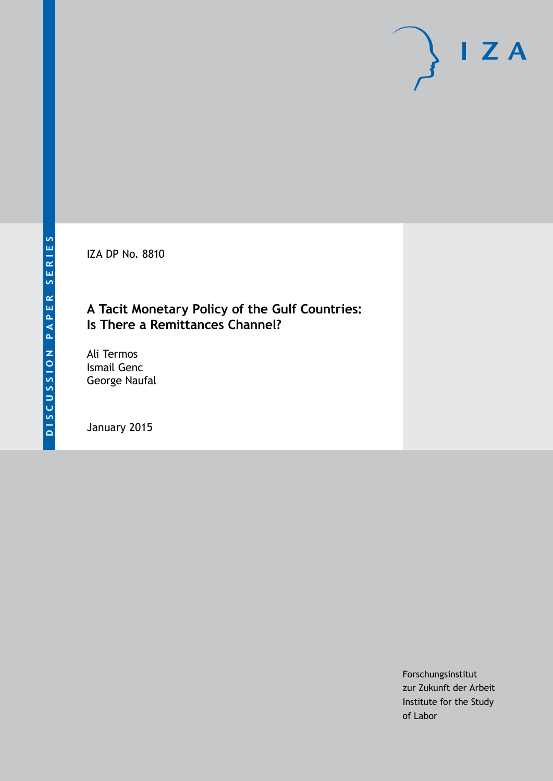IZA DP No. 8810

## **A Tacit Monetary Policy of the Gulf Countries: Is There a Remittances Channel?**

Ali Termos Ismail Genc George Naufal

January 2015

Forschungsinstitut zur Zukunft der Arbeit Institute for the Study of Labor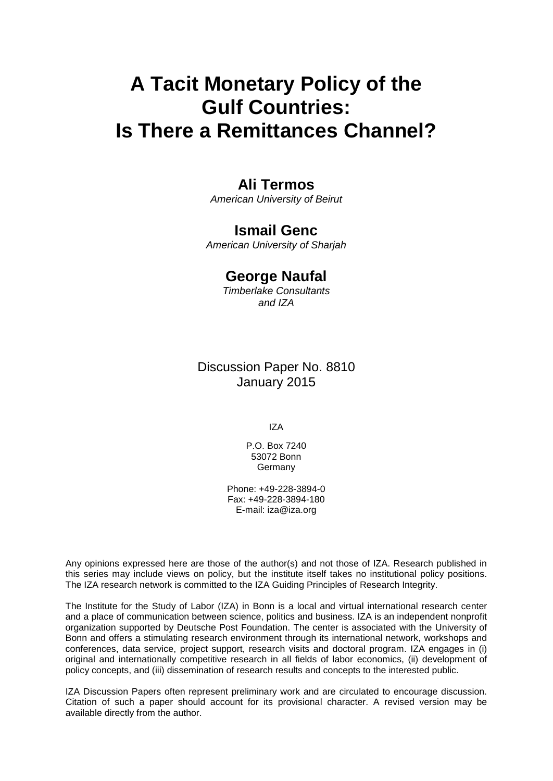# **A Tacit Monetary Policy of the Gulf Countries: Is There a Remittances Channel?**

## **Ali Termos**

*American University of Beirut*

### **Ismail Genc**

*American University of Sharjah*

## **George Naufal**

*Timberlake Consultants and IZA*

## Discussion Paper No. 8810 January 2015

IZA

P.O. Box 7240 53072 Bonn **Germany** 

Phone: +49-228-3894-0 Fax: +49-228-3894-180 E-mail: [iza@iza.org](mailto:iza@iza.org)

Any opinions expressed here are those of the author(s) and not those of IZA. Research published in this series may include views on policy, but the institute itself takes no institutional policy positions. The IZA research network is committed to the IZA Guiding Principles of Research Integrity.

The Institute for the Study of Labor (IZA) in Bonn is a local and virtual international research center and a place of communication between science, politics and business. IZA is an independent nonprofit organization supported by Deutsche Post Foundation. The center is associated with the University of Bonn and offers a stimulating research environment through its international network, workshops and conferences, data service, project support, research visits and doctoral program. IZA engages in (i) original and internationally competitive research in all fields of labor economics, (ii) development of policy concepts, and (iii) dissemination of research results and concepts to the interested public.

IZA Discussion Papers often represent preliminary work and are circulated to encourage discussion. Citation of such a paper should account for its provisional character. A revised version may be available directly from the author.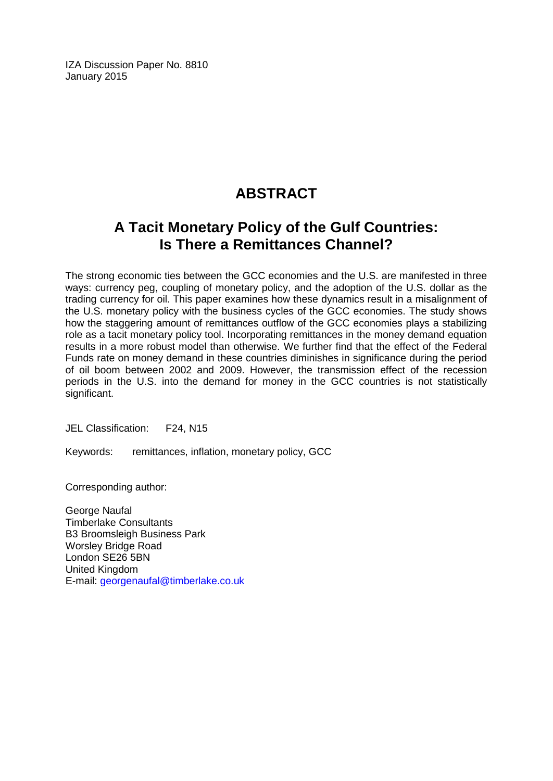IZA Discussion Paper No. 8810 January 2015

## **ABSTRACT**

## **A Tacit Monetary Policy of the Gulf Countries: Is There a Remittances Channel?**

The strong economic ties between the GCC economies and the U.S. are manifested in three ways: currency peg, coupling of monetary policy, and the adoption of the U.S. dollar as the trading currency for oil. This paper examines how these dynamics result in a misalignment of the U.S. monetary policy with the business cycles of the GCC economies. The study shows how the staggering amount of remittances outflow of the GCC economies plays a stabilizing role as a tacit monetary policy tool. Incorporating remittances in the money demand equation results in a more robust model than otherwise. We further find that the effect of the Federal Funds rate on money demand in these countries diminishes in significance during the period of oil boom between 2002 and 2009. However, the transmission effect of the recession periods in the U.S. into the demand for money in the GCC countries is not statistically significant.

JEL Classification: F24, N15

Keywords: remittances, inflation, monetary policy, GCC

Corresponding author:

George Naufal Timberlake Consultants B3 Broomsleigh Business Park Worsley Bridge Road London SE26 5BN United Kingdom E-mail: [georgenaufal@timberlake.co.uk](mailto:georgenaufal@timberlake.co.uk)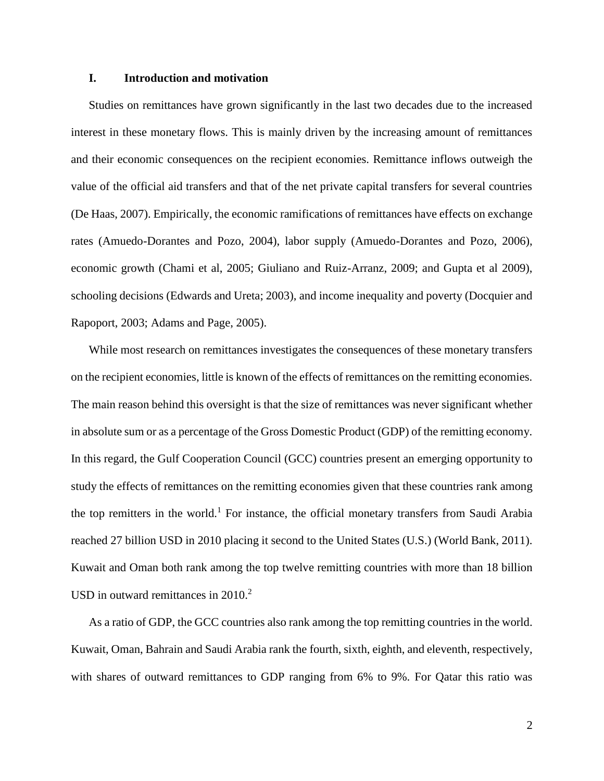#### **I. Introduction and motivation**

Studies on remittances have grown significantly in the last two decades due to the increased interest in these monetary flows. This is mainly driven by the increasing amount of remittances and their economic consequences on the recipient economies. Remittance inflows outweigh the value of the official aid transfers and that of the net private capital transfers for several countries (De Haas, 2007). Empirically, the economic ramifications of remittances have effects on exchange rates (Amuedo-Dorantes and Pozo, 2004), labor supply (Amuedo-Dorantes and Pozo, 2006), economic growth (Chami et al, 2005; Giuliano and Ruiz-Arranz, 2009; and Gupta et al 2009), schooling decisions (Edwards and Ureta; 2003), and income inequality and poverty (Docquier and Rapoport, 2003; Adams and Page, 2005).

While most research on remittances investigates the consequences of these monetary transfers on the recipient economies, little is known of the effects of remittances on the remitting economies. The main reason behind this oversight is that the size of remittances was never significant whether in absolute sum or as a percentage of the Gross Domestic Product (GDP) of the remitting economy. In this regard, the Gulf Cooperation Council (GCC) countries present an emerging opportunity to study the effects of remittances on the remitting economies given that these countries rank among the top remitters in the world.<sup>1</sup> For instance, the official monetary transfers from Saudi Arabia reached 27 billion USD in 2010 placing it second to the United States (U.S.) (World Bank, 2011). Kuwait and Oman both rank among the top twelve remitting countries with more than 18 billion USD in outward remittances in 2010. 2

As a ratio of GDP, the GCC countries also rank among the top remitting countries in the world. Kuwait, Oman, Bahrain and Saudi Arabia rank the fourth, sixth, eighth, and eleventh, respectively, with shares of outward remittances to GDP ranging from 6% to 9%. For Qatar this ratio was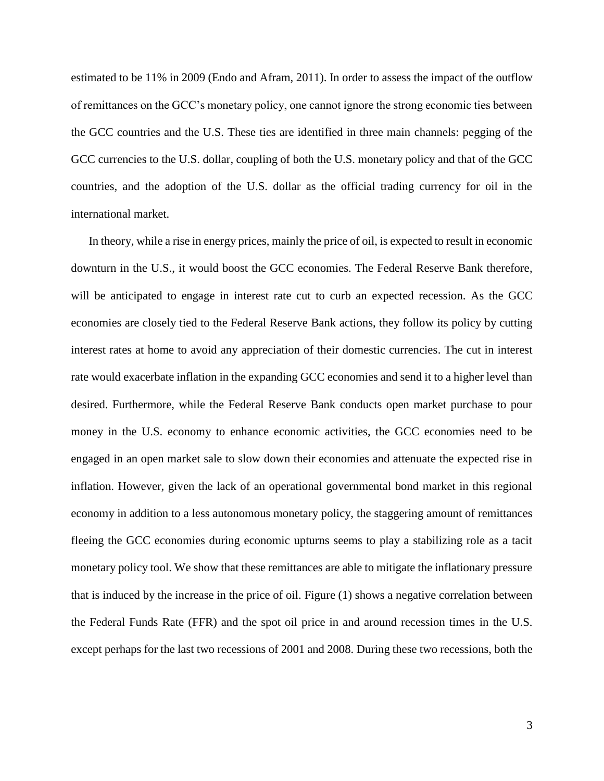estimated to be 11% in 2009 (Endo and Afram, 2011). In order to assess the impact of the outflow of remittances on the GCC's monetary policy, one cannot ignore the strong economic ties between the GCC countries and the U.S. These ties are identified in three main channels: pegging of the GCC currencies to the U.S. dollar, coupling of both the U.S. monetary policy and that of the GCC countries, and the adoption of the U.S. dollar as the official trading currency for oil in the international market.

In theory, while a rise in energy prices, mainly the price of oil, is expected to result in economic downturn in the U.S., it would boost the GCC economies. The Federal Reserve Bank therefore, will be anticipated to engage in interest rate cut to curb an expected recession. As the GCC economies are closely tied to the Federal Reserve Bank actions, they follow its policy by cutting interest rates at home to avoid any appreciation of their domestic currencies. The cut in interest rate would exacerbate inflation in the expanding GCC economies and send it to a higher level than desired. Furthermore, while the Federal Reserve Bank conducts open market purchase to pour money in the U.S. economy to enhance economic activities, the GCC economies need to be engaged in an open market sale to slow down their economies and attenuate the expected rise in inflation. However, given the lack of an operational governmental bond market in this regional economy in addition to a less autonomous monetary policy, the staggering amount of remittances fleeing the GCC economies during economic upturns seems to play a stabilizing role as a tacit monetary policy tool. We show that these remittances are able to mitigate the inflationary pressure that is induced by the increase in the price of oil. Figure (1) shows a negative correlation between the Federal Funds Rate (FFR) and the spot oil price in and around recession times in the U.S. except perhaps for the last two recessions of 2001 and 2008. During these two recessions, both the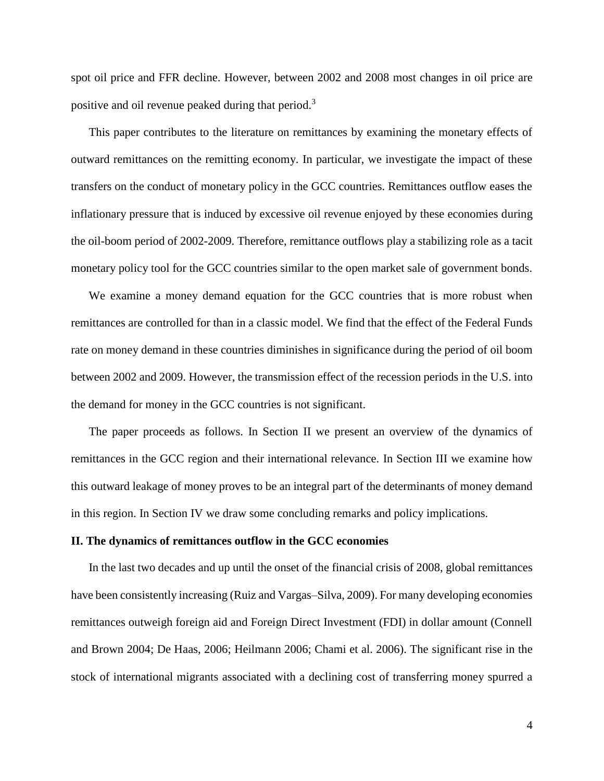spot oil price and FFR decline. However, between 2002 and 2008 most changes in oil price are positive and oil revenue peaked during that period.<sup>3</sup>

This paper contributes to the literature on remittances by examining the monetary effects of outward remittances on the remitting economy. In particular, we investigate the impact of these transfers on the conduct of monetary policy in the GCC countries. Remittances outflow eases the inflationary pressure that is induced by excessive oil revenue enjoyed by these economies during the oil-boom period of 2002-2009. Therefore, remittance outflows play a stabilizing role as a tacit monetary policy tool for the GCC countries similar to the open market sale of government bonds.

We examine a money demand equation for the GCC countries that is more robust when remittances are controlled for than in a classic model. We find that the effect of the Federal Funds rate on money demand in these countries diminishes in significance during the period of oil boom between 2002 and 2009. However, the transmission effect of the recession periods in the U.S. into the demand for money in the GCC countries is not significant.

The paper proceeds as follows. In Section II we present an overview of the dynamics of remittances in the GCC region and their international relevance. In Section III we examine how this outward leakage of money proves to be an integral part of the determinants of money demand in this region. In Section IV we draw some concluding remarks and policy implications.

#### **II. The dynamics of remittances outflow in the GCC economies**

In the last two decades and up until the onset of the financial crisis of 2008, global remittances have been consistently increasing (Ruiz and Vargas–Silva, 2009). For many developing economies remittances outweigh foreign aid and Foreign Direct Investment (FDI) in dollar amount (Connell and Brown 2004; De Haas, 2006; Heilmann 2006; Chami et al. 2006). The significant rise in the stock of international migrants associated with a declining cost of transferring money spurred a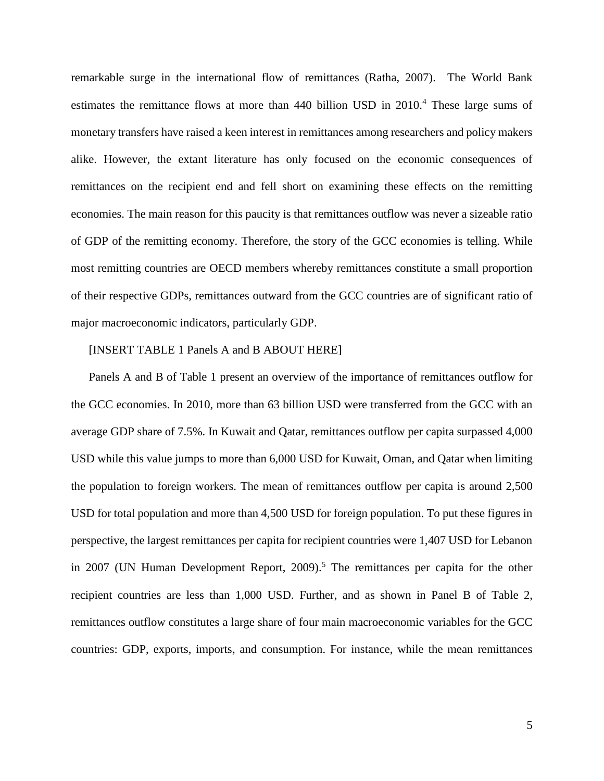remarkable surge in the international flow of remittances (Ratha, 2007). The World Bank estimates the remittance flows at more than 440 billion USD in 2010. <sup>4</sup> These large sums of monetary transfers have raised a keen interest in remittances among researchers and policy makers alike. However, the extant literature has only focused on the economic consequences of remittances on the recipient end and fell short on examining these effects on the remitting economies. The main reason for this paucity is that remittances outflow was never a sizeable ratio of GDP of the remitting economy. Therefore, the story of the GCC economies is telling. While most remitting countries are OECD members whereby remittances constitute a small proportion of their respective GDPs, remittances outward from the GCC countries are of significant ratio of major macroeconomic indicators, particularly GDP.

#### [INSERT TABLE 1 Panels A and B ABOUT HERE]

Panels A and B of Table 1 present an overview of the importance of remittances outflow for the GCC economies. In 2010, more than 63 billion USD were transferred from the GCC with an average GDP share of 7.5%. In Kuwait and Qatar, remittances outflow per capita surpassed 4,000 USD while this value jumps to more than 6,000 USD for Kuwait, Oman, and Qatar when limiting the population to foreign workers. The mean of remittances outflow per capita is around 2,500 USD for total population and more than 4,500 USD for foreign population. To put these figures in perspective, the largest remittances per capita for recipient countries were 1,407 USD for Lebanon in 2007 (UN Human Development Report, 2009). <sup>5</sup> The remittances per capita for the other recipient countries are less than 1,000 USD. Further, and as shown in Panel B of Table 2, remittances outflow constitutes a large share of four main macroeconomic variables for the GCC countries: GDP, exports, imports, and consumption. For instance, while the mean remittances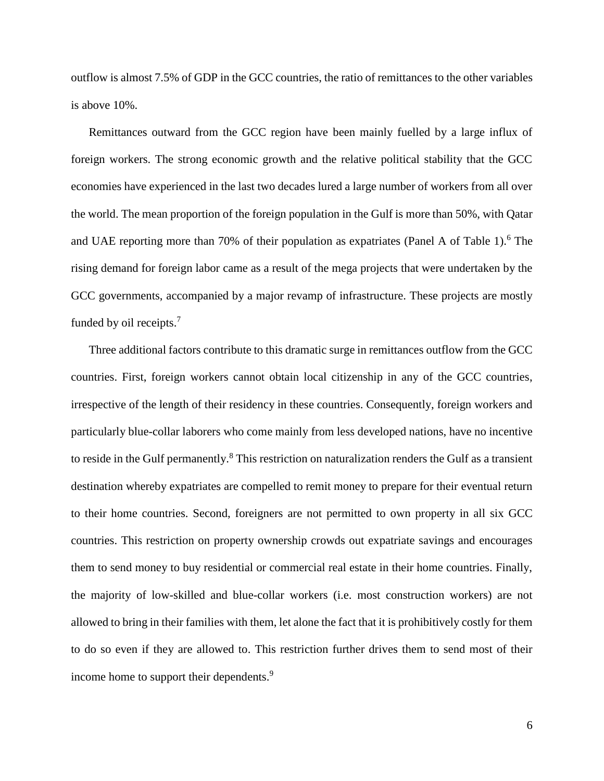outflow is almost 7.5% of GDP in the GCC countries, the ratio of remittances to the other variables is above 10%.

Remittances outward from the GCC region have been mainly fuelled by a large influx of foreign workers. The strong economic growth and the relative political stability that the GCC economies have experienced in the last two decades lured a large number of workers from all over the world. The mean proportion of the foreign population in the Gulf is more than 50%, with Qatar and UAE reporting more than 70% of their population as expatriates (Panel A of Table 1). <sup>6</sup> The rising demand for foreign labor came as a result of the mega projects that were undertaken by the GCC governments, accompanied by a major revamp of infrastructure. These projects are mostly funded by oil receipts.<sup>7</sup>

Three additional factors contribute to this dramatic surge in remittances outflow from the GCC countries. First, foreign workers cannot obtain local citizenship in any of the GCC countries, irrespective of the length of their residency in these countries. Consequently, foreign workers and particularly blue-collar laborers who come mainly from less developed nations, have no incentive to reside in the Gulf permanently.<sup>8</sup> This restriction on naturalization renders the Gulf as a transient destination whereby expatriates are compelled to remit money to prepare for their eventual return to their home countries. Second, foreigners are not permitted to own property in all six GCC countries. This restriction on property ownership crowds out expatriate savings and encourages them to send money to buy residential or commercial real estate in their home countries. Finally, the majority of low-skilled and blue-collar workers (i.e. most construction workers) are not allowed to bring in their families with them, let alone the fact that it is prohibitively costly for them to do so even if they are allowed to. This restriction further drives them to send most of their income home to support their dependents.<sup>9</sup>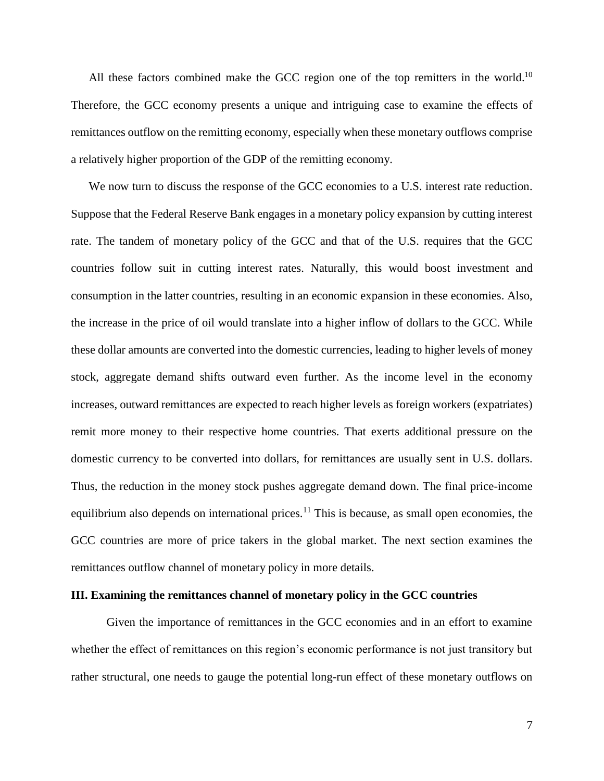All these factors combined make the GCC region one of the top remitters in the world.<sup>10</sup> Therefore, the GCC economy presents a unique and intriguing case to examine the effects of remittances outflow on the remitting economy, especially when these monetary outflows comprise a relatively higher proportion of the GDP of the remitting economy.

We now turn to discuss the response of the GCC economies to a U.S. interest rate reduction. Suppose that the Federal Reserve Bank engages in a monetary policy expansion by cutting interest rate. The tandem of monetary policy of the GCC and that of the U.S. requires that the GCC countries follow suit in cutting interest rates. Naturally, this would boost investment and consumption in the latter countries, resulting in an economic expansion in these economies. Also, the increase in the price of oil would translate into a higher inflow of dollars to the GCC. While these dollar amounts are converted into the domestic currencies, leading to higher levels of money stock, aggregate demand shifts outward even further. As the income level in the economy increases, outward remittances are expected to reach higher levels as foreign workers (expatriates) remit more money to their respective home countries. That exerts additional pressure on the domestic currency to be converted into dollars, for remittances are usually sent in U.S. dollars. Thus, the reduction in the money stock pushes aggregate demand down. The final price-income equilibrium also depends on international prices.<sup>11</sup> This is because, as small open economies, the GCC countries are more of price takers in the global market. The next section examines the remittances outflow channel of monetary policy in more details.

#### **III. Examining the remittances channel of monetary policy in the GCC countries**

Given the importance of remittances in the GCC economies and in an effort to examine whether the effect of remittances on this region's economic performance is not just transitory but rather structural, one needs to gauge the potential long-run effect of these monetary outflows on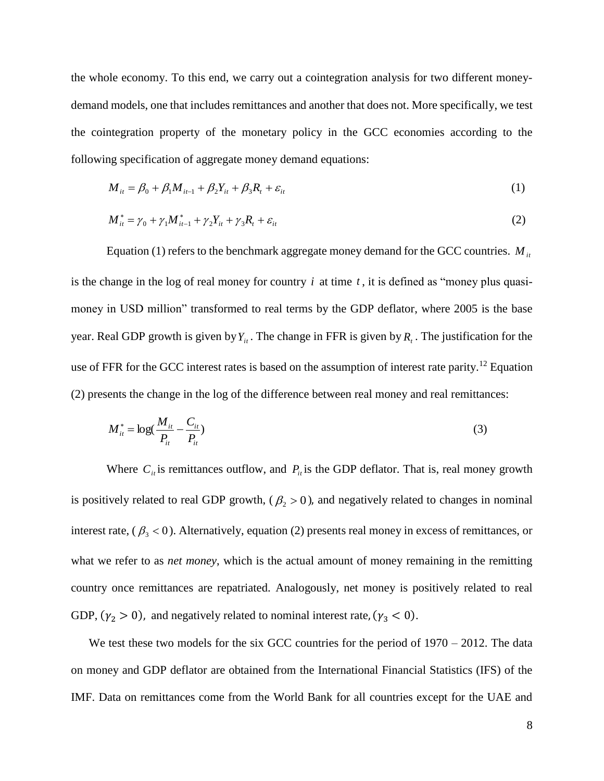the whole economy. To this end, we carry out a cointegration analysis for two different moneydemand models, one that includes remittances and another that does not. More specifically, we test the cointegration property of the monetary policy in the GCC economies according to the following specification of aggregate money demand equations:

$$
M_{it} = \beta_0 + \beta_1 M_{it-1} + \beta_2 Y_{it} + \beta_3 R_t + \varepsilon_{it}
$$
 (1)

$$
M_{it}^* = \gamma_0 + \gamma_1 M_{it-1}^* + \gamma_2 Y_{it} + \gamma_3 R_t + \varepsilon_{it}
$$
 (2)

Equation (1) refers to the benchmark aggregate money demand for the GCC countries.  $M_{it}$ is the change in the log of real money for country  $i$  at time  $t$ , it is defined as "money plus quasimoney in USD million" transformed to real terms by the GDP deflator, where 2005 is the base year. Real GDP growth is given by  $Y_{it}$ . The change in FFR is given by  $R_t$ . The justification for the use of FFR for the GCC interest rates is based on the assumption of interest rate parity.<sup>12</sup> Equation (2) presents the change in the log of the difference between real money and real remittances:

$$
M_{it}^* = \log(\frac{M_{it}}{P_{it}} - \frac{C_{it}}{P_{it}})
$$
 (3)

Where  $C_{ii}$  is remittances outflow, and  $P_{ii}$  is the GDP deflator. That is, real money growth is positively related to real GDP growth,  $(\beta_2 > 0)$ , and negatively related to changes in nominal interest rate,  $(\beta_{3} < 0)$ . Alternatively, equation (2) presents real money in excess of remittances, or what we refer to as *net money*, which is the actual amount of money remaining in the remitting country once remittances are repatriated. Analogously, net money is positively related to real GDP,  $(\gamma_2 > 0)$ , and negatively related to nominal interest rate,  $(\gamma_3 < 0)$ .

We test these two models for the six GCC countries for the period of 1970 – 2012. The data on money and GDP deflator are obtained from the International Financial Statistics (IFS) of the IMF. Data on remittances come from the World Bank for all countries except for the UAE and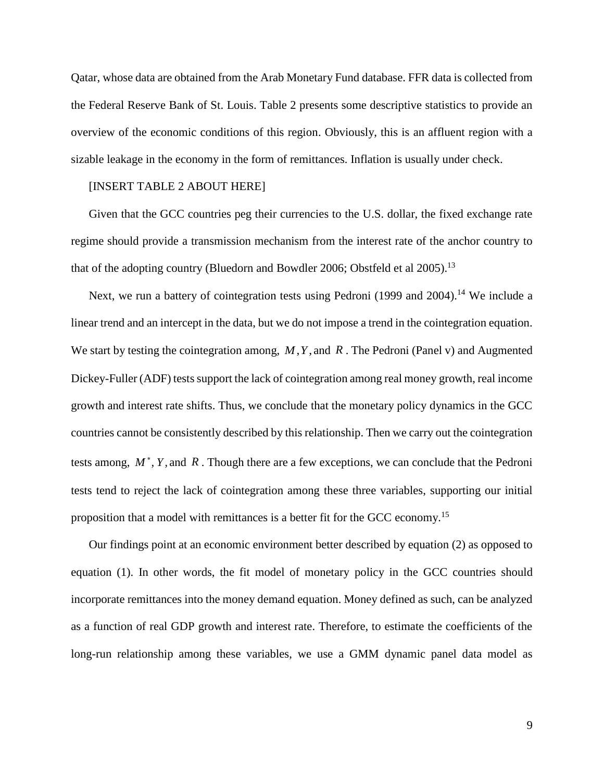Qatar, whose data are obtained from the Arab Monetary Fund database. FFR data is collected from the Federal Reserve Bank of St. Louis. Table 2 presents some descriptive statistics to provide an overview of the economic conditions of this region. Obviously, this is an affluent region with a sizable leakage in the economy in the form of remittances. Inflation is usually under check.

#### [INSERT TABLE 2 ABOUT HERE]

Given that the GCC countries peg their currencies to the U.S. dollar, the fixed exchange rate regime should provide a transmission mechanism from the interest rate of the anchor country to that of the adopting country (Bluedorn and Bowdler 2006; Obstfeld et al 2005).<sup>13</sup>

Next, we run a battery of cointegration tests using Pedroni (1999 and 2004).<sup>14</sup> We include a linear trend and an intercept in the data, but we do not impose a trend in the cointegration equation. We start by testing the cointegration among, *M*,*Y*, and *R* . The Pedroni (Panel v) and Augmented Dickey-Fuller (ADF) tests support the lack of cointegration among real money growth, real income growth and interest rate shifts. Thus, we conclude that the monetary policy dynamics in the GCC countries cannot be consistently described by this relationship. Then we carry out the cointegration tests among,  $M^*$ ,  $Y$ , and  $R$ . Though there are a few exceptions, we can conclude that the Pedroni tests tend to reject the lack of cointegration among these three variables, supporting our initial proposition that a model with remittances is a better fit for the GCC economy.<sup>15</sup>

Our findings point at an economic environment better described by equation (2) as opposed to equation (1). In other words, the fit model of monetary policy in the GCC countries should incorporate remittances into the money demand equation. Money defined as such, can be analyzed as a function of real GDP growth and interest rate. Therefore, to estimate the coefficients of the long-run relationship among these variables, we use a GMM dynamic panel data model as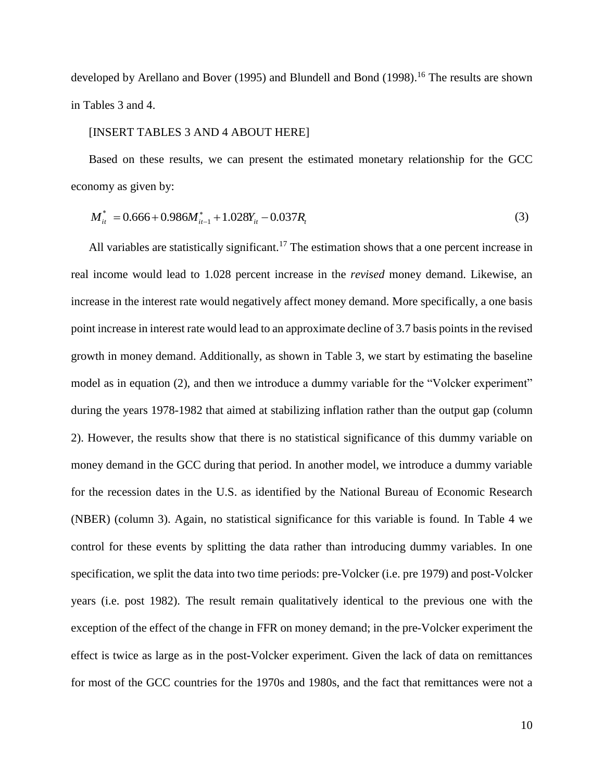developed by Arellano and Bover (1995) and Blundell and Bond (1998).<sup>16</sup> The results are shown in Tables 3 and 4.

#### [INSERT TABLES 3 AND 4 ABOUT HERE]

Based on these results, we can present the estimated monetary relationship for the GCC economy as given by:

$$
M_{ii}^* = 0.666 + 0.986M_{ii-1}^* + 1.028Y_{ii} - 0.037R_i
$$
\n(3)

All variables are statistically significant.<sup>17</sup> The estimation shows that a one percent increase in real income would lead to 1.028 percent increase in the *revised* money demand. Likewise, an increase in the interest rate would negatively affect money demand. More specifically, a one basis point increase in interest rate would lead to an approximate decline of 3.7 basis pointsin the revised growth in money demand. Additionally, as shown in Table 3, we start by estimating the baseline model as in equation (2), and then we introduce a dummy variable for the "Volcker experiment" during the years 1978-1982 that aimed at stabilizing inflation rather than the output gap (column 2). However, the results show that there is no statistical significance of this dummy variable on money demand in the GCC during that period. In another model, we introduce a dummy variable for the recession dates in the U.S. as identified by the National Bureau of Economic Research (NBER) (column 3). Again, no statistical significance for this variable is found. In Table 4 we control for these events by splitting the data rather than introducing dummy variables. In one specification, we split the data into two time periods: pre-Volcker (i.e. pre 1979) and post-Volcker years (i.e. post 1982). The result remain qualitatively identical to the previous one with the exception of the effect of the change in FFR on money demand; in the pre-Volcker experiment the effect is twice as large as in the post-Volcker experiment. Given the lack of data on remittances for most of the GCC countries for the 1970s and 1980s, and the fact that remittances were not a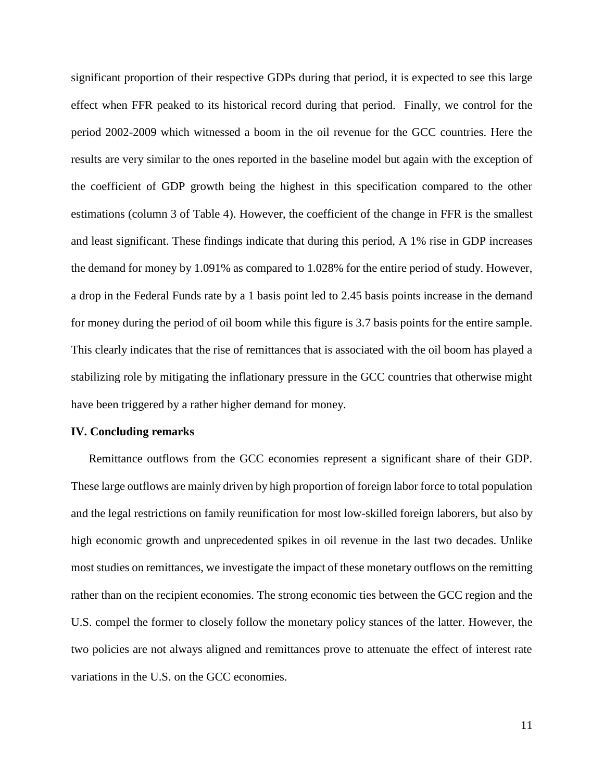significant proportion of their respective GDPs during that period, it is expected to see this large effect when FFR peaked to its historical record during that period. Finally, we control for the period 2002-2009 which witnessed a boom in the oil revenue for the GCC countries. Here the results are very similar to the ones reported in the baseline model but again with the exception of the coefficient of GDP growth being the highest in this specification compared to the other estimations (column 3 of Table 4). However, the coefficient of the change in FFR is the smallest and least significant. These findings indicate that during this period, A 1% rise in GDP increases the demand for money by 1.091% as compared to 1.028% for the entire period of study. However, a drop in the Federal Funds rate by a 1 basis point led to 2.45 basis points increase in the demand for money during the period of oil boom while this figure is 3.7 basis points for the entire sample. This clearly indicates that the rise of remittances that is associated with the oil boom has played a stabilizing role by mitigating the inflationary pressure in the GCC countries that otherwise might have been triggered by a rather higher demand for money.

#### **IV. Concluding remarks**

Remittance outflows from the GCC economies represent a significant share of their GDP. These large outflows are mainly driven by high proportion of foreign labor force to total population and the legal restrictions on family reunification for most low-skilled foreign laborers, but also by high economic growth and unprecedented spikes in oil revenue in the last two decades. Unlike most studies on remittances, we investigate the impact of these monetary outflows on the remitting rather than on the recipient economies. The strong economic ties between the GCC region and the U.S. compel the former to closely follow the monetary policy stances of the latter. However, the two policies are not always aligned and remittances prove to attenuate the effect of interest rate variations in the U.S. on the GCC economies.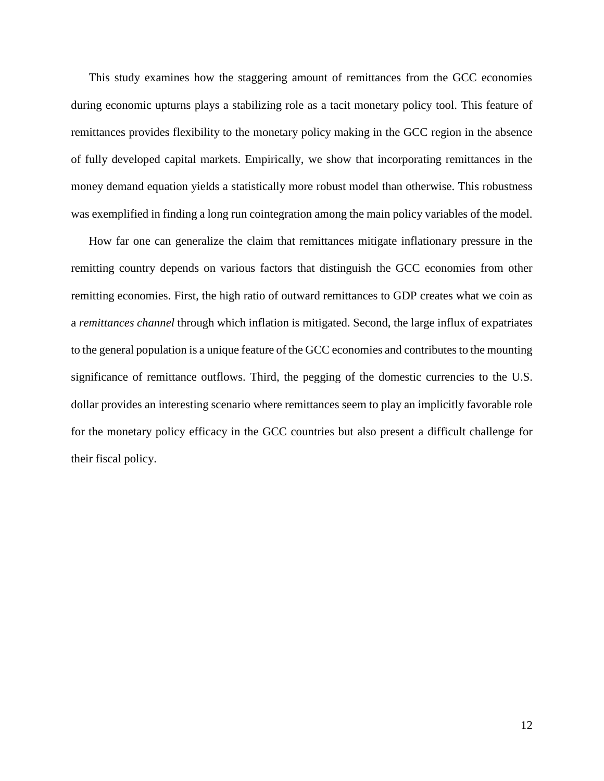This study examines how the staggering amount of remittances from the GCC economies during economic upturns plays a stabilizing role as a tacit monetary policy tool. This feature of remittances provides flexibility to the monetary policy making in the GCC region in the absence of fully developed capital markets. Empirically, we show that incorporating remittances in the money demand equation yields a statistically more robust model than otherwise. This robustness was exemplified in finding a long run cointegration among the main policy variables of the model.

How far one can generalize the claim that remittances mitigate inflationary pressure in the remitting country depends on various factors that distinguish the GCC economies from other remitting economies. First, the high ratio of outward remittances to GDP creates what we coin as a *remittances channel* through which inflation is mitigated. Second, the large influx of expatriates to the general population is a unique feature of the GCC economies and contributes to the mounting significance of remittance outflows. Third, the pegging of the domestic currencies to the U.S. dollar provides an interesting scenario where remittances seem to play an implicitly favorable role for the monetary policy efficacy in the GCC countries but also present a difficult challenge for their fiscal policy.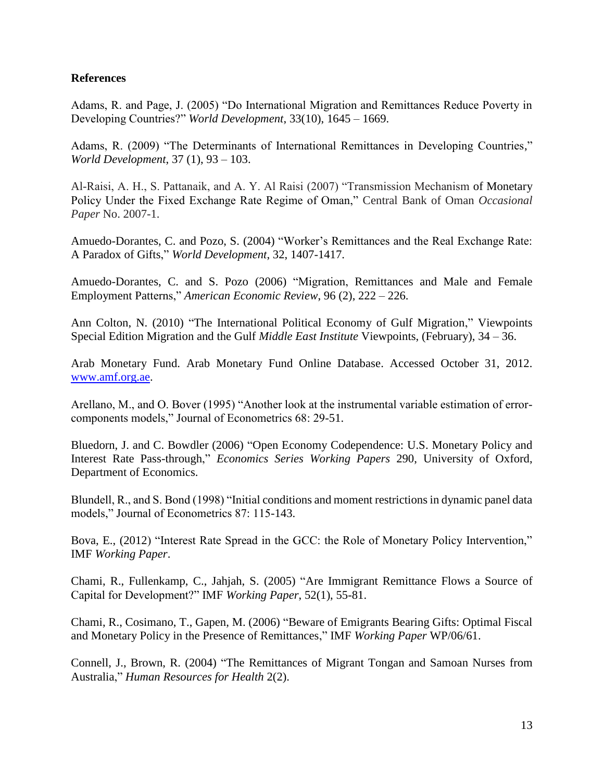### **References**

Adams, R. and Page, J. (2005) "Do International Migration and Remittances Reduce Poverty in Developing Countries?" *World Development*, 33(10), 1645 – 1669.

Adams, R. (2009) "The Determinants of International Remittances in Developing Countries," *World Development*, 37 (1), 93 – 103.

Al-Raisi, A. H., S. Pattanaik, and A. Y. Al Raisi (2007) "Transmission Mechanism of Monetary Policy Under the Fixed Exchange Rate Regime of Oman," Central Bank of Oman *Occasional Paper* No. 2007-1.

Amuedo-Dorantes, C. and Pozo, S. (2004) "Worker's Remittances and the Real Exchange Rate: A Paradox of Gifts," *World Development*, 32, 1407-1417.

Amuedo-Dorantes, C. and S. Pozo (2006) "Migration, Remittances and Male and Female Employment Patterns," *American Economic Review*, 96 (2), 222 – 226.

Ann Colton, N. (2010) "The International Political Economy of Gulf Migration," Viewpoints Special Edition Migration and the Gulf *Middle East Institute* Viewpoints, (February), 34 – 36.

Arab Monetary Fund. Arab Monetary Fund Online Database. Accessed October 31, 2012. [www.amf.org.ae.](http://www.amf.org.ae/)

Arellano, M., and O. Bover (1995) "Another look at the instrumental variable estimation of errorcomponents models," Journal of Econometrics 68: 29-51.

Bluedorn, J. and C. Bowdler (2006) "Open Economy Codependence: U.S. Monetary Policy and Interest Rate Pass-through," *Economics Series Working Papers* 290, University of Oxford, Department of Economics.

Blundell, R., and S. Bond (1998) "Initial conditions and moment restrictions in dynamic panel data models," Journal of Econometrics 87: 115-143.

Bova, E., (2012) "Interest Rate Spread in the GCC: the Role of Monetary Policy Intervention," IMF *Working Paper*.

Chami, R., Fullenkamp, C., Jahjah, S. (2005) "Are Immigrant Remittance Flows a Source of Capital for Development?" IMF *Working Paper*, 52(1), 55-81.

Chami, R., Cosimano, T., Gapen, M. (2006) "Beware of Emigrants Bearing Gifts: Optimal Fiscal and Monetary Policy in the Presence of Remittances," IMF *Working Paper* WP/06/61.

Connell, J., Brown, R. (2004) "The Remittances of Migrant Tongan and Samoan Nurses from Australia," *Human Resources for Health* 2(2).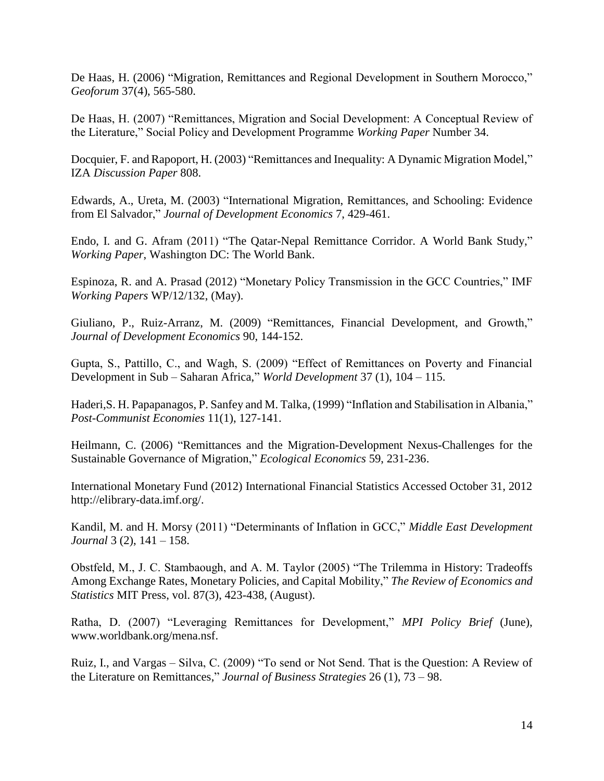De Haas, H. (2006) "Migration, Remittances and Regional Development in Southern Morocco," *Geoforum* 37(4), 565-580.

De Haas, H. (2007) "Remittances, Migration and Social Development: A Conceptual Review of the Literature," Social Policy and Development Programme *Working Paper* Number 34.

Docquier, F. and Rapoport, H. (2003) "Remittances and Inequality: A Dynamic Migration Model," IZA *Discussion Paper* 808.

Edwards, A., Ureta, M. (2003) "International Migration, Remittances, and Schooling: Evidence from El Salvador," *Journal of Development Economics* 7, 429-461.

Endo, I. and G. Afram (2011) "The Qatar-Nepal Remittance Corridor. A World Bank Study," *Working Paper*, Washington DC: The World Bank.

Espinoza, R. and A. Prasad (2012) "Monetary Policy Transmission in the GCC Countries," IMF *Working Papers* WP/12/132, (May).

Giuliano, P., Ruiz-Arranz, M. (2009) "Remittances, Financial Development, and Growth," *Journal of Development Economics* 90, 144-152.

Gupta, S., Pattillo, C., and Wagh, S. (2009) "Effect of Remittances on Poverty and Financial Development in Sub – Saharan Africa," *World Development* 37 (1), 104 – 115.

Haderi,S. H. Papapanagos, P. Sanfey and M. Talka, (1999) "Inflation and Stabilisation in Albania," *Post-Communist Economies* 11(1), 127-141.

Heilmann, C. (2006) "Remittances and the Migration-Development Nexus-Challenges for the Sustainable Governance of Migration," *Ecological Economics* 59, 231-236.

International Monetary Fund (2012) International Financial Statistics Accessed October 31, 2012 http://elibrary-data.imf.org/.

Kandil, M. and H. Morsy (2011) "Determinants of Inflation in GCC," *Middle East Development Journal* 3 (2), 141 – 158.

Obstfeld, M., J. C. Stambaough, and A. M. Taylor (2005) "The Trilemma in History: Tradeoffs Among Exchange Rates, Monetary Policies, and Capital Mobility," *The Review of Economics and Statistics* MIT Press, vol. 87(3), 423-438, (August).

Ratha, D. (2007) "Leveraging Remittances for Development," *MPI Policy Brief* (June), www.worldbank.org/mena.nsf.

Ruiz, I., and Vargas – Silva, C. (2009) "To send or Not Send. That is the Question: A Review of the Literature on Remittances," *Journal of Business Strategies* 26 (1), 73 – 98.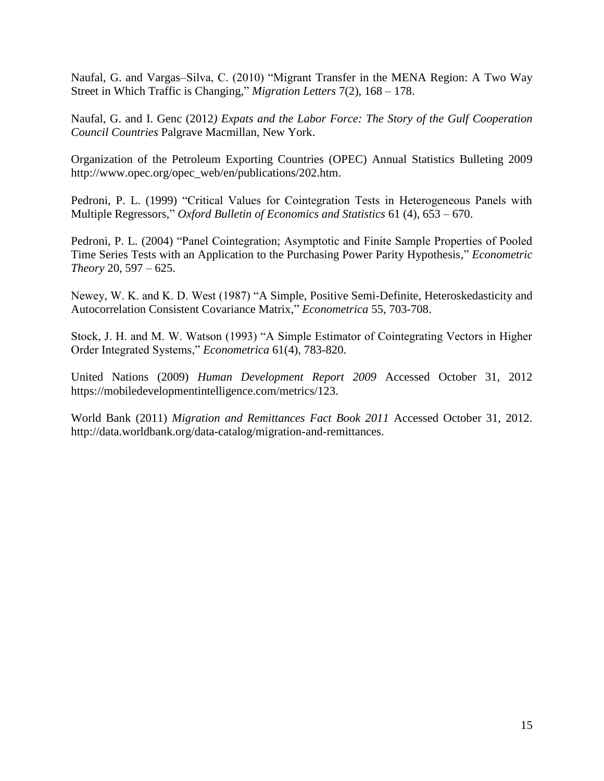Naufal, G. and Vargas–Silva, C. (2010) "Migrant Transfer in the MENA Region: A Two Way Street in Which Traffic is Changing," *Migration Letters* 7(2), 168 – 178.

Naufal, G. and I. Genc (2012*) Expats and the Labor Force: The Story of the Gulf Cooperation Council Countries* Palgrave Macmillan, New York.

Organization of the Petroleum Exporting Countries (OPEC) Annual Statistics Bulleting 2009 http://www.opec.org/opec\_web/en/publications/202.htm.

Pedroni, P. L. (1999) "Critical Values for Cointegration Tests in Heterogeneous Panels with Multiple Regressors," *Oxford Bulletin of Economics and Statistics* 61 (4), 653 – 670.

Pedroni, P. L. (2004) "Panel Cointegration; Asymptotic and Finite Sample Properties of Pooled Time Series Tests with an Application to the Purchasing Power Parity Hypothesis," *Econometric Theory* 20, 597 – 625.

Newey, W. K. and K. D. West (1987) "A Simple, Positive Semi-Definite, Heteroskedasticity and Autocorrelation Consistent Covariance Matrix," *Econometrica* 55, 703-708.

Stock, J. H. and M. W. Watson (1993) "A Simple Estimator of Cointegrating Vectors in Higher Order Integrated Systems," *Econometrica* 61(4), 783-820.

United Nations (2009) *Human Development Report 2009* Accessed October 31, 2012 https://mobiledevelopmentintelligence.com/metrics/123.

World Bank (2011) *Migration and Remittances Fact Book 2011* Accessed October 31, 2012. http://data.worldbank.org/data-catalog/migration-and-remittances.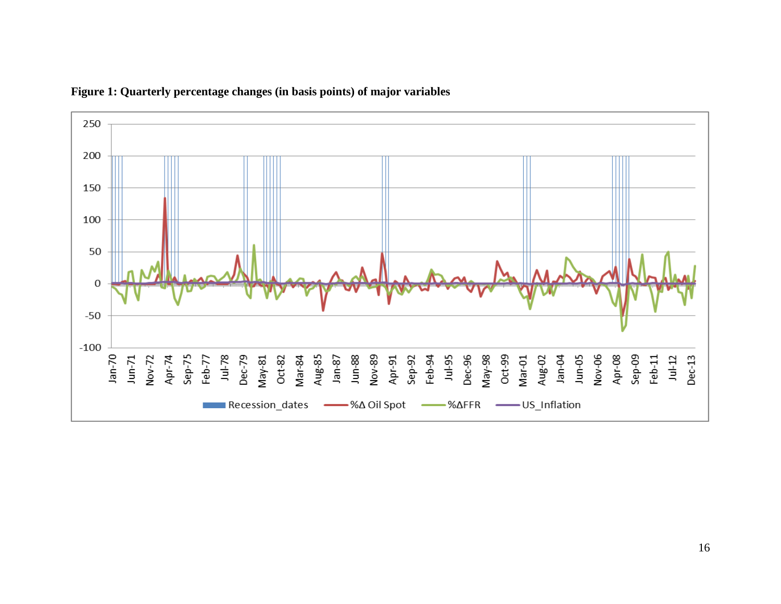

### **Figure 1: Quarterly percentage changes (in basis points) of major variables**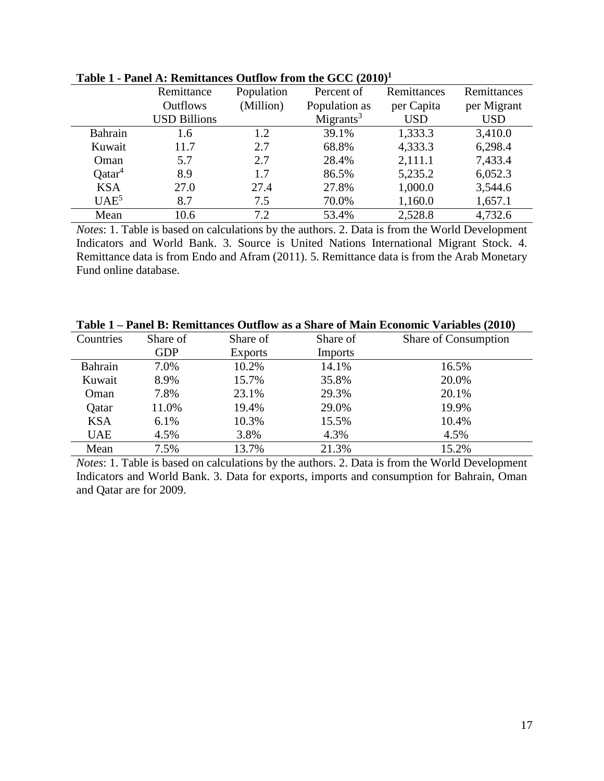|                    | Remittance          | Population | Percent of            | Remittances | Remittances |
|--------------------|---------------------|------------|-----------------------|-------------|-------------|
|                    | <b>Outflows</b>     | (Million)  | Population as         | per Capita  | per Migrant |
|                    | <b>USD Billions</b> |            | Migrants <sup>3</sup> | <b>USD</b>  | <b>USD</b>  |
| Bahrain            | 1.6                 | 1.2        | 39.1%                 | 1,333.3     | 3,410.0     |
| Kuwait             | 11.7                | 2.7        | 68.8%                 | 4,333.3     | 6,298.4     |
| Oman               | 5.7                 | 2.7        | 28.4%                 | 2,111.1     | 7,433.4     |
| Qatar <sup>4</sup> | 8.9                 | 1.7        | 86.5%                 | 5,235.2     | 6,052.3     |
| <b>KSA</b>         | 27.0                | 27.4       | 27.8%                 | 1,000.0     | 3,544.6     |
| UAE <sup>5</sup>   | 8.7                 | 7.5        | 70.0%                 | 1,160.0     | 1,657.1     |
| Mean               | 10.6                | 7.2        | 53.4%                 | 2,528.8     | 4,732.6     |

**Table 1 - Panel A: Remittances Outflow from the GCC (2010)<sup>1</sup>**

*Notes*: 1. Table is based on calculations by the authors. 2. Data is from the World Development Indicators and World Bank. 3. Source is United Nations International Migrant Stock. 4. Remittance data is from Endo and Afram (2011). 5. Remittance data is from the Arab Monetary Fund online database.

|  |  | Table 1 – Panel B: Remittances Outflow as a Share of Main Economic Variables (2010)                                           |
|--|--|-------------------------------------------------------------------------------------------------------------------------------|
|  |  | $\Omega$ and $\Omega$ and $\Omega$ and $\Omega$ and $\Omega$ and $\Omega$ and $\Omega$ and $\Omega$ and $\Omega$ and $\Omega$ |

| Countries  | Share of   | Share of       | Share of       | Share of Consumption |
|------------|------------|----------------|----------------|----------------------|
|            | <b>GDP</b> | <b>Exports</b> | <b>Imports</b> |                      |
| Bahrain    | 7.0%       | 10.2%          | 14.1%          | 16.5%                |
| Kuwait     | 8.9%       | 15.7%          | 35.8%          | 20.0%                |
| Oman       | 7.8%       | 23.1%          | 29.3%          | 20.1%                |
| Qatar      | 11.0%      | 19.4%          | 29.0%          | 19.9%                |
| <b>KSA</b> | 6.1%       | 10.3%          | 15.5%          | 10.4%                |
| <b>UAE</b> | 4.5%       | 3.8%           | 4.3%           | 4.5%                 |
| Mean       | 7.5%       | 13.7%          | 21.3%          | 15.2%                |

*Notes*: 1. Table is based on calculations by the authors. 2. Data is from the World Development Indicators and World Bank. 3. Data for exports, imports and consumption for Bahrain, Oman and Qatar are for 2009.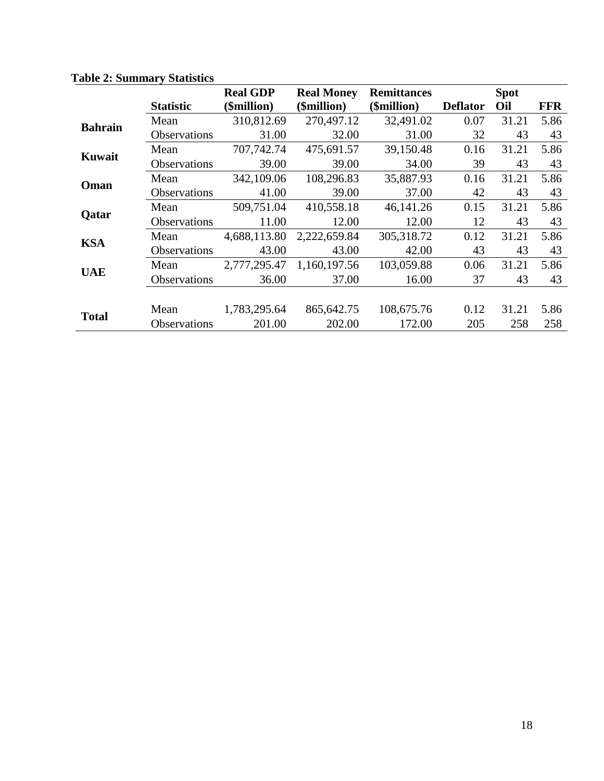|                |                     | <b>Real GDP</b> | <b>Real Money</b> | <b>Remittances</b> |                 | <b>Spot</b> |            |
|----------------|---------------------|-----------------|-------------------|--------------------|-----------------|-------------|------------|
|                | <b>Statistic</b>    | (\$million)     | (\$million)       | (\$million)        | <b>Deflator</b> | Oil         | <b>FFR</b> |
| <b>Bahrain</b> | Mean                | 310,812.69      | 270,497.12        | 32,491.02          | 0.07            | 31.21       | 5.86       |
|                | Observations        | 31.00           | 32.00             | 31.00              | 32              | 43          | 43         |
| Kuwait         | Mean                | 707,742.74      | 475,691.57        | 39,150.48          | 0.16            | 31.21       | 5.86       |
|                | <b>Observations</b> | 39.00           | 39.00             | 34.00              | 39              | 43          | 43         |
| Oman           | Mean                | 342,109.06      | 108,296.83        | 35,887.93          | 0.16            | 31.21       | 5.86       |
|                | Observations        | 41.00           | 39.00             | 37.00              | 42              | 43          | 43         |
| Qatar          | Mean                | 509,751.04      | 410,558.18        | 46,141.26          | 0.15            | 31.21       | 5.86       |
|                | Observations        | 11.00           | 12.00             | 12.00              | 12              | 43          | 43         |
| <b>KSA</b>     | Mean                | 4,688,113.80    | 2,222,659.84      | 305,318.72         | 0.12            | 31.21       | 5.86       |
|                | <b>Observations</b> | 43.00           | 43.00             | 42.00              | 43              | 43          | 43         |
| <b>UAE</b>     | Mean                | 2,777,295.47    | 1,160,197.56      | 103,059.88         | 0.06            | 31.21       | 5.86       |
|                | <b>Observations</b> | 36.00           | 37.00             | 16.00              | 37              | 43          | 43         |
|                |                     |                 |                   |                    |                 |             |            |
|                | Mean                | 1,783,295.64    | 865, 642. 75      | 108,675.76         | 0.12            | 31.21       | 5.86       |
| <b>Total</b>   | <b>Observations</b> | 201.00          | 202.00            | 172.00             | 205             | 258         | 258        |

**Table 2: Summary Statistics**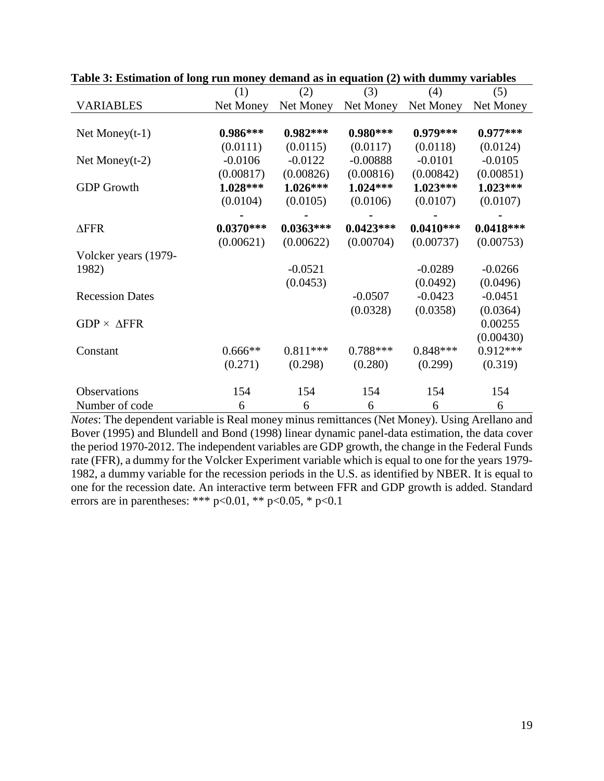|                         | (1)         | (2)         | (3)         | (4)         | (5)         |
|-------------------------|-------------|-------------|-------------|-------------|-------------|
| <b>VARIABLES</b>        | Net Money   | Net Money   | Net Money   | Net Money   | Net Money   |
|                         |             |             |             |             |             |
| Net Money $(t-1)$       | $0.986***$  | $0.982***$  | $0.980***$  | $0.979***$  | $0.977***$  |
|                         | (0.0111)    | (0.0115)    | (0.0117)    | (0.0118)    | (0.0124)    |
| Net Money $(t-2)$       | $-0.0106$   | $-0.0122$   | $-0.00888$  | $-0.0101$   | $-0.0105$   |
|                         | (0.00817)   | (0.00826)   | (0.00816)   | (0.00842)   | (0.00851)   |
| <b>GDP</b> Growth       | $1.028***$  | $1.026***$  | $1.024***$  | $1.023***$  | $1.023***$  |
|                         | (0.0104)    | (0.0105)    | (0.0106)    | (0.0107)    | (0.0107)    |
|                         |             |             |             |             |             |
| $\Delta$ FFR            | $0.0370***$ | $0.0363***$ | $0.0423***$ | $0.0410***$ | $0.0418***$ |
|                         | (0.00621)   | (0.00622)   | (0.00704)   | (0.00737)   | (0.00753)   |
| Volcker years (1979-    |             |             |             |             |             |
| 1982)                   |             | $-0.0521$   |             | $-0.0289$   | $-0.0266$   |
|                         |             | (0.0453)    |             | (0.0492)    | (0.0496)    |
| <b>Recession Dates</b>  |             |             | $-0.0507$   | $-0.0423$   | $-0.0451$   |
|                         |             |             | (0.0328)    | (0.0358)    | (0.0364)    |
| $GDP \times \Delta FFR$ |             |             |             |             | 0.00255     |
|                         |             |             |             |             | (0.00430)   |
| Constant                | $0.666**$   | $0.811***$  | $0.788***$  | $0.848***$  | $0.912***$  |
|                         | (0.271)     | (0.298)     | (0.280)     | (0.299)     | (0.319)     |
| <b>Observations</b>     | 154         | 154         | 154         | 154         | 154         |
| Number of code          | 6           | 6           | 6           | 6           | 6           |

**Table 3: Estimation of long run money demand as in equation (2) with dummy variables**

*Notes*: The dependent variable is Real money minus remittances (Net Money). Using Arellano and Bover (1995) and Blundell and Bond (1998) linear dynamic panel-data estimation, the data cover the period 1970-2012. The independent variables are GDP growth, the change in the Federal Funds rate (FFR), a dummy for the Volcker Experiment variable which is equal to one for the years 1979- 1982, a dummy variable for the recession periods in the U.S. as identified by NBER. It is equal to one for the recession date. An interactive term between FFR and GDP growth is added. Standard errors are in parentheses: \*\*\* p<0.01, \*\* p<0.05, \* p<0.1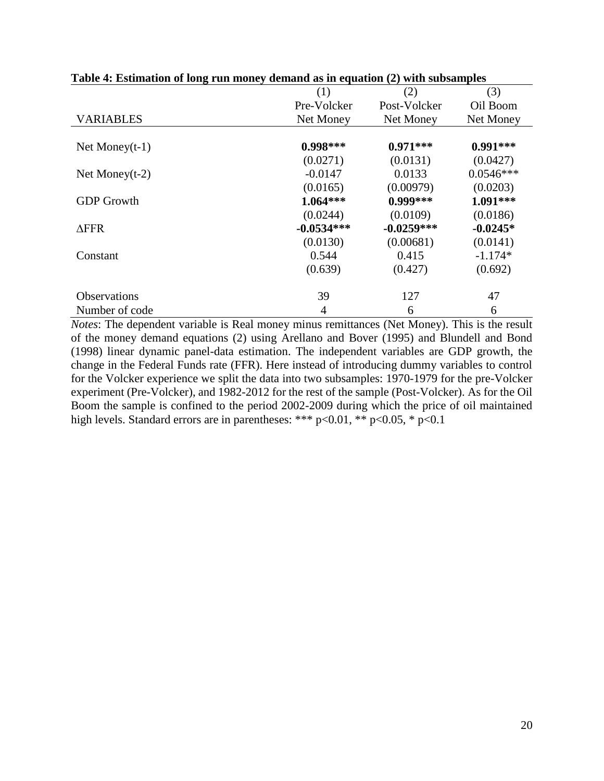|                     | Table + Estimation of long run money achiana as in equation (2) with subsamples |              |             |  |  |  |
|---------------------|---------------------------------------------------------------------------------|--------------|-------------|--|--|--|
|                     | (1)                                                                             | (2)          | (3)         |  |  |  |
|                     | Pre-Volcker                                                                     | Post-Volcker | Oil Boom    |  |  |  |
| <b>VARIABLES</b>    | Net Money                                                                       | Net Money    | Net Money   |  |  |  |
|                     |                                                                                 |              |             |  |  |  |
| Net Money $(t-1)$   | $0.998***$                                                                      | $0.971***$   | $0.991***$  |  |  |  |
|                     | (0.0271)                                                                        | (0.0131)     | (0.0427)    |  |  |  |
| Net Money $(t-2)$   | $-0.0147$                                                                       | 0.0133       | $0.0546***$ |  |  |  |
|                     | (0.0165)                                                                        | (0.00979)    | (0.0203)    |  |  |  |
| <b>GDP</b> Growth   | $1.064***$                                                                      | $0.999***$   | 1.091***    |  |  |  |
|                     | (0.0244)                                                                        | (0.0109)     | (0.0186)    |  |  |  |
| $\triangle$ FFR     | $-0.0534***$                                                                    | $-0.0259***$ | $-0.0245*$  |  |  |  |
|                     | (0.0130)                                                                        | (0.00681)    | (0.0141)    |  |  |  |
| Constant            | 0.544                                                                           | 0.415        | $-1.174*$   |  |  |  |
|                     | (0.639)                                                                         | (0.427)      | (0.692)     |  |  |  |
| <b>Observations</b> | 39                                                                              | 127          | 47          |  |  |  |
| Number of code      | 4                                                                               | 6            | 6           |  |  |  |

**Table 4: Estimation of long run money demand as in equation (2) with subsamples**

*Notes*: The dependent variable is Real money minus remittances (Net Money). This is the result of the money demand equations (2) using Arellano and Bover (1995) and Blundell and Bond (1998) linear dynamic panel-data estimation. The independent variables are GDP growth, the change in the Federal Funds rate (FFR). Here instead of introducing dummy variables to control for the Volcker experience we split the data into two subsamples: 1970-1979 for the pre-Volcker experiment (Pre-Volcker), and 1982-2012 for the rest of the sample (Post-Volcker). As for the Oil Boom the sample is confined to the period 2002-2009 during which the price of oil maintained high levels. Standard errors are in parentheses: \*\*\*  $p<0.01$ , \*\*  $p<0.05$ , \*  $p<0.1$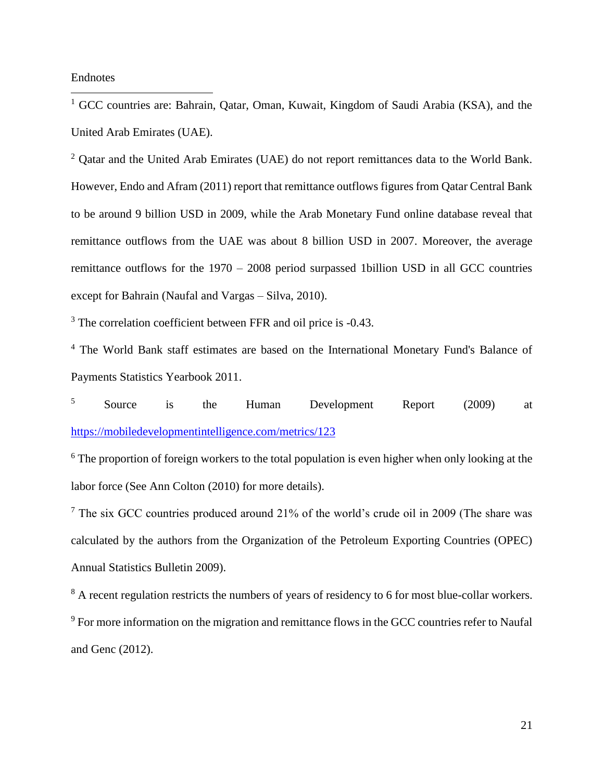Endnotes

 $\overline{a}$ 

<sup>1</sup> GCC countries are: Bahrain, Qatar, Oman, Kuwait, Kingdom of Saudi Arabia (KSA), and the United Arab Emirates (UAE).

<sup>2</sup> Oatar and the United Arab Emirates (UAE) do not report remittances data to the World Bank. However, Endo and Afram (2011) report that remittance outflows figures from Qatar Central Bank to be around 9 billion USD in 2009, while the Arab Monetary Fund online database reveal that remittance outflows from the UAE was about 8 billion USD in 2007. Moreover, the average remittance outflows for the 1970 – 2008 period surpassed 1billion USD in all GCC countries except for Bahrain (Naufal and Vargas – Silva, 2010).

<sup>3</sup> The correlation coefficient between FFR and oil price is -0.43.

<sup>4</sup> The World Bank staff estimates are based on the International Monetary Fund's Balance of Payments Statistics Yearbook 2011.

<sup>5</sup> Source is the Human Development Report (2009) at <https://mobiledevelopmentintelligence.com/metrics/123>

 $6$  The proportion of foreign workers to the total population is even higher when only looking at the labor force (See Ann Colton (2010) for more details).

 $7$  The six GCC countries produced around 21% of the world's crude oil in 2009 (The share was calculated by the authors from the Organization of the Petroleum Exporting Countries (OPEC) Annual Statistics Bulletin 2009).

<sup>8</sup> A recent regulation restricts the numbers of years of residency to 6 for most blue-collar workers.

<sup>9</sup> For more information on the migration and remittance flows in the GCC countries refer to Naufal and Genc (2012).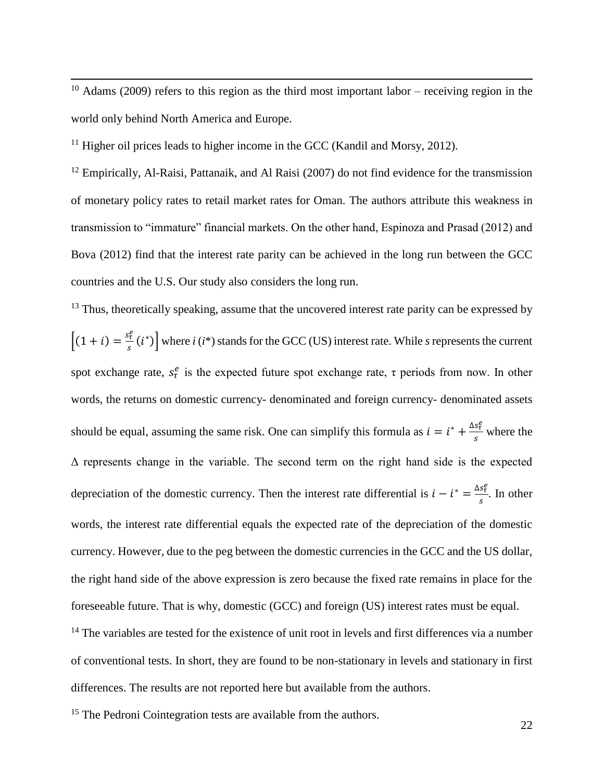$10$  Adams (2009) refers to this region as the third most important labor – receiving region in the world only behind North America and Europe.

<sup>11</sup> Higher oil prices leads to higher income in the GCC (Kandil and Morsy, 2012).

 $\overline{a}$ 

<sup>12</sup> Empirically, Al-Raisi, Pattanaik, and Al Raisi (2007) do not find evidence for the transmission of monetary policy rates to retail market rates for Oman. The authors attribute this weakness in transmission to "immature" financial markets. On the other hand, Espinoza and Prasad (2012) and Bova (2012) find that the interest rate parity can be achieved in the long run between the GCC countries and the U.S. Our study also considers the long run.

 $13$  Thus, theoretically speaking, assume that the uncovered interest rate parity can be expressed by  $[(1 + i) = \frac{s_c^e}{i}]$  $\left[\frac{\partial \tilde{t}}{\partial s}(i^*)\right]$  where *i* (*i*\*) stands for the GCC (US) interest rate. While *s* represents the current spot exchange rate,  $s^e_\tau$  is the expected future spot exchange rate,  $\tau$  periods from now. In other words, the returns on domestic currency- denominated and foreign currency- denominated assets should be equal, assuming the same risk. One can simplify this formula as  $i = i^* + \frac{\Delta s_f^2}{a}$  $\frac{s_{\tau}}{s}$  where the Δ represents change in the variable. The second term on the right hand side is the expected depreciation of the domestic currency. Then the interest rate differential is  $i - i^* = \frac{\Delta s_i^2}{2}$  $\frac{s_{\tau}}{s}$ . In other words, the interest rate differential equals the expected rate of the depreciation of the domestic currency. However, due to the peg between the domestic currencies in the GCC and the US dollar, the right hand side of the above expression is zero because the fixed rate remains in place for the foreseeable future. That is why, domestic (GCC) and foreign (US) interest rates must be equal.

<sup>14</sup> The variables are tested for the existence of unit root in levels and first differences via a number of conventional tests. In short, they are found to be non-stationary in levels and stationary in first differences. The results are not reported here but available from the authors.

<sup>15</sup> The Pedroni Cointegration tests are available from the authors.